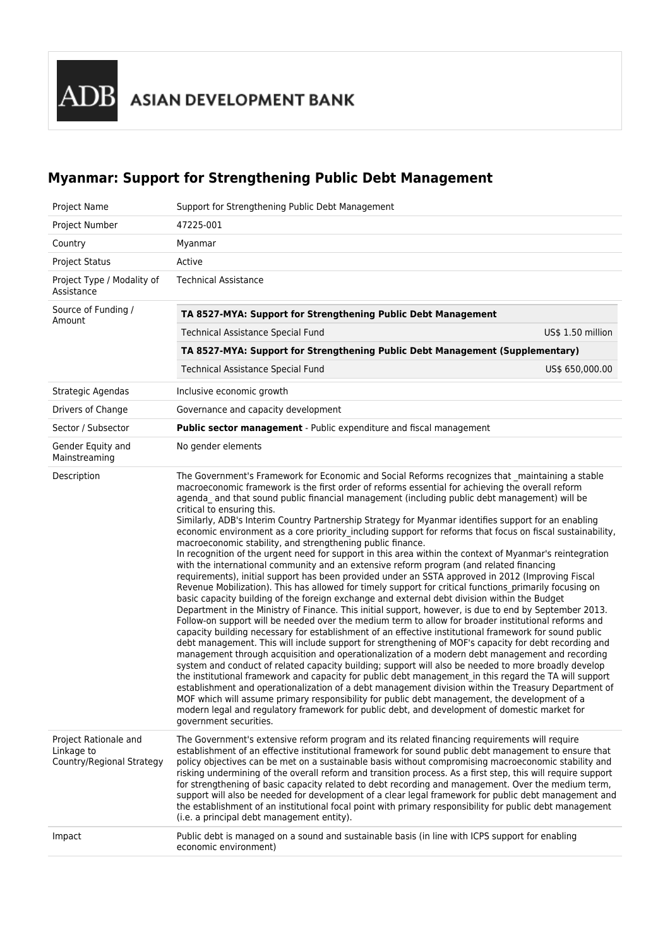# **Myanmar: Support for Strengthening Public Debt Management**

| Project Name                                                     | Support for Strengthening Public Debt Management                                                                                                                                                                                                                                                                                                                                                                                                                                                                                                                                                                                                                                                                                                                                                                                                                                                                                                                                                                                                                                                                                                                                                                                                                                                                                                                                                                                                                                                                                                                                                                                                                                                                                                                                                                                                                                                                                                                                                                                                                                                                                                                                                                                             |                   |  |  |  |
|------------------------------------------------------------------|----------------------------------------------------------------------------------------------------------------------------------------------------------------------------------------------------------------------------------------------------------------------------------------------------------------------------------------------------------------------------------------------------------------------------------------------------------------------------------------------------------------------------------------------------------------------------------------------------------------------------------------------------------------------------------------------------------------------------------------------------------------------------------------------------------------------------------------------------------------------------------------------------------------------------------------------------------------------------------------------------------------------------------------------------------------------------------------------------------------------------------------------------------------------------------------------------------------------------------------------------------------------------------------------------------------------------------------------------------------------------------------------------------------------------------------------------------------------------------------------------------------------------------------------------------------------------------------------------------------------------------------------------------------------------------------------------------------------------------------------------------------------------------------------------------------------------------------------------------------------------------------------------------------------------------------------------------------------------------------------------------------------------------------------------------------------------------------------------------------------------------------------------------------------------------------------------------------------------------------------|-------------------|--|--|--|
| Project Number                                                   | 47225-001                                                                                                                                                                                                                                                                                                                                                                                                                                                                                                                                                                                                                                                                                                                                                                                                                                                                                                                                                                                                                                                                                                                                                                                                                                                                                                                                                                                                                                                                                                                                                                                                                                                                                                                                                                                                                                                                                                                                                                                                                                                                                                                                                                                                                                    |                   |  |  |  |
| Country                                                          | Myanmar                                                                                                                                                                                                                                                                                                                                                                                                                                                                                                                                                                                                                                                                                                                                                                                                                                                                                                                                                                                                                                                                                                                                                                                                                                                                                                                                                                                                                                                                                                                                                                                                                                                                                                                                                                                                                                                                                                                                                                                                                                                                                                                                                                                                                                      |                   |  |  |  |
| <b>Project Status</b>                                            | Active                                                                                                                                                                                                                                                                                                                                                                                                                                                                                                                                                                                                                                                                                                                                                                                                                                                                                                                                                                                                                                                                                                                                                                                                                                                                                                                                                                                                                                                                                                                                                                                                                                                                                                                                                                                                                                                                                                                                                                                                                                                                                                                                                                                                                                       |                   |  |  |  |
| Project Type / Modality of<br>Assistance                         | <b>Technical Assistance</b>                                                                                                                                                                                                                                                                                                                                                                                                                                                                                                                                                                                                                                                                                                                                                                                                                                                                                                                                                                                                                                                                                                                                                                                                                                                                                                                                                                                                                                                                                                                                                                                                                                                                                                                                                                                                                                                                                                                                                                                                                                                                                                                                                                                                                  |                   |  |  |  |
| Source of Funding /                                              | TA 8527-MYA: Support for Strengthening Public Debt Management                                                                                                                                                                                                                                                                                                                                                                                                                                                                                                                                                                                                                                                                                                                                                                                                                                                                                                                                                                                                                                                                                                                                                                                                                                                                                                                                                                                                                                                                                                                                                                                                                                                                                                                                                                                                                                                                                                                                                                                                                                                                                                                                                                                |                   |  |  |  |
| Amount                                                           | Technical Assistance Special Fund                                                                                                                                                                                                                                                                                                                                                                                                                                                                                                                                                                                                                                                                                                                                                                                                                                                                                                                                                                                                                                                                                                                                                                                                                                                                                                                                                                                                                                                                                                                                                                                                                                                                                                                                                                                                                                                                                                                                                                                                                                                                                                                                                                                                            | US\$ 1.50 million |  |  |  |
|                                                                  | TA 8527-MYA: Support for Strengthening Public Debt Management (Supplementary)                                                                                                                                                                                                                                                                                                                                                                                                                                                                                                                                                                                                                                                                                                                                                                                                                                                                                                                                                                                                                                                                                                                                                                                                                                                                                                                                                                                                                                                                                                                                                                                                                                                                                                                                                                                                                                                                                                                                                                                                                                                                                                                                                                |                   |  |  |  |
|                                                                  | <b>Technical Assistance Special Fund</b>                                                                                                                                                                                                                                                                                                                                                                                                                                                                                                                                                                                                                                                                                                                                                                                                                                                                                                                                                                                                                                                                                                                                                                                                                                                                                                                                                                                                                                                                                                                                                                                                                                                                                                                                                                                                                                                                                                                                                                                                                                                                                                                                                                                                     | US\$ 650,000.00   |  |  |  |
| Strategic Agendas                                                | Inclusive economic growth                                                                                                                                                                                                                                                                                                                                                                                                                                                                                                                                                                                                                                                                                                                                                                                                                                                                                                                                                                                                                                                                                                                                                                                                                                                                                                                                                                                                                                                                                                                                                                                                                                                                                                                                                                                                                                                                                                                                                                                                                                                                                                                                                                                                                    |                   |  |  |  |
| Drivers of Change                                                | Governance and capacity development                                                                                                                                                                                                                                                                                                                                                                                                                                                                                                                                                                                                                                                                                                                                                                                                                                                                                                                                                                                                                                                                                                                                                                                                                                                                                                                                                                                                                                                                                                                                                                                                                                                                                                                                                                                                                                                                                                                                                                                                                                                                                                                                                                                                          |                   |  |  |  |
| Sector / Subsector                                               | Public sector management - Public expenditure and fiscal management                                                                                                                                                                                                                                                                                                                                                                                                                                                                                                                                                                                                                                                                                                                                                                                                                                                                                                                                                                                                                                                                                                                                                                                                                                                                                                                                                                                                                                                                                                                                                                                                                                                                                                                                                                                                                                                                                                                                                                                                                                                                                                                                                                          |                   |  |  |  |
| Gender Equity and<br>Mainstreaming                               | No gender elements                                                                                                                                                                                                                                                                                                                                                                                                                                                                                                                                                                                                                                                                                                                                                                                                                                                                                                                                                                                                                                                                                                                                                                                                                                                                                                                                                                                                                                                                                                                                                                                                                                                                                                                                                                                                                                                                                                                                                                                                                                                                                                                                                                                                                           |                   |  |  |  |
| Description                                                      | The Government's Framework for Economic and Social Reforms recognizes that _maintaining a stable<br>macroeconomic framework is the first order of reforms essential for achieving the overall reform<br>agenda_ and that sound public financial management (including public debt management) will be<br>critical to ensuring this.<br>Similarly, ADB's Interim Country Partnership Strategy for Myanmar identifies support for an enabling<br>economic environment as a core priority including support for reforms that focus on fiscal sustainability,<br>macroeconomic stability, and strengthening public finance.<br>In recognition of the urgent need for support in this area within the context of Myanmar's reintegration<br>with the international community and an extensive reform program (and related financing<br>requirements), initial support has been provided under an SSTA approved in 2012 (Improving Fiscal<br>Revenue Mobilization). This has allowed for timely support for critical functions primarily focusing on<br>basic capacity building of the foreign exchange and external debt division within the Budget<br>Department in the Ministry of Finance. This initial support, however, is due to end by September 2013.<br>Follow-on support will be needed over the medium term to allow for broader institutional reforms and<br>capacity building necessary for establishment of an effective institutional framework for sound public<br>debt management. This will include support for strengthening of MOF's capacity for debt recording and<br>management through acquisition and operationalization of a modern debt management and recording<br>system and conduct of related capacity building; support will also be needed to more broadly develop<br>the institutional framework and capacity for public debt management in this regard the TA will support<br>establishment and operationalization of a debt management division within the Treasury Department of<br>MOF which will assume primary responsibility for public debt management, the development of a<br>modern legal and regulatory framework for public debt, and development of domestic market for<br>government securities. |                   |  |  |  |
| Project Rationale and<br>Linkage to<br>Country/Regional Strategy | The Government's extensive reform program and its related financing requirements will require<br>establishment of an effective institutional framework for sound public debt management to ensure that<br>policy objectives can be met on a sustainable basis without compromising macroeconomic stability and<br>risking undermining of the overall reform and transition process. As a first step, this will require support<br>for strengthening of basic capacity related to debt recording and management. Over the medium term,<br>support will also be needed for development of a clear legal framework for public debt management and<br>the establishment of an institutional focal point with primary responsibility for public debt management<br>(i.e. a principal debt management entity).                                                                                                                                                                                                                                                                                                                                                                                                                                                                                                                                                                                                                                                                                                                                                                                                                                                                                                                                                                                                                                                                                                                                                                                                                                                                                                                                                                                                                                     |                   |  |  |  |
| Impact                                                           | Public debt is managed on a sound and sustainable basis (in line with ICPS support for enabling<br>economic environment)                                                                                                                                                                                                                                                                                                                                                                                                                                                                                                                                                                                                                                                                                                                                                                                                                                                                                                                                                                                                                                                                                                                                                                                                                                                                                                                                                                                                                                                                                                                                                                                                                                                                                                                                                                                                                                                                                                                                                                                                                                                                                                                     |                   |  |  |  |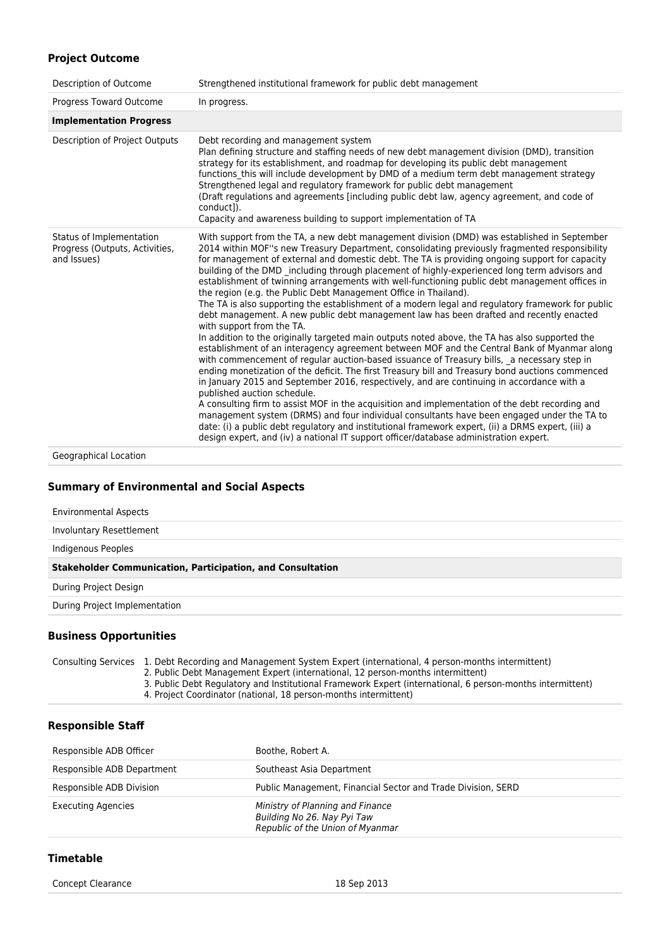## **Project Outcome**

| Description of Outcome                                                    | Strengthened institutional framework for public debt management                                                                                                                                                                                                                                                                                                                                                                                                                                                                                                                                                                                                                                                                                                                                                                                                                                                                                                                                                                                                                                                                                                                                                                                                                                                                                                                                                                                                                                                                                                                                                                                                                                                                   |
|---------------------------------------------------------------------------|-----------------------------------------------------------------------------------------------------------------------------------------------------------------------------------------------------------------------------------------------------------------------------------------------------------------------------------------------------------------------------------------------------------------------------------------------------------------------------------------------------------------------------------------------------------------------------------------------------------------------------------------------------------------------------------------------------------------------------------------------------------------------------------------------------------------------------------------------------------------------------------------------------------------------------------------------------------------------------------------------------------------------------------------------------------------------------------------------------------------------------------------------------------------------------------------------------------------------------------------------------------------------------------------------------------------------------------------------------------------------------------------------------------------------------------------------------------------------------------------------------------------------------------------------------------------------------------------------------------------------------------------------------------------------------------------------------------------------------------|
| Progress Toward Outcome                                                   | In progress.                                                                                                                                                                                                                                                                                                                                                                                                                                                                                                                                                                                                                                                                                                                                                                                                                                                                                                                                                                                                                                                                                                                                                                                                                                                                                                                                                                                                                                                                                                                                                                                                                                                                                                                      |
| <b>Implementation Progress</b>                                            |                                                                                                                                                                                                                                                                                                                                                                                                                                                                                                                                                                                                                                                                                                                                                                                                                                                                                                                                                                                                                                                                                                                                                                                                                                                                                                                                                                                                                                                                                                                                                                                                                                                                                                                                   |
| Description of Project Outputs                                            | Debt recording and management system<br>Plan defining structure and staffing needs of new debt management division (DMD), transition<br>strategy for its establishment, and roadmap for developing its public debt management<br>functions this will include development by DMD of a medium term debt management strategy<br>Strengthened legal and regulatory framework for public debt management<br>(Draft regulations and agreements [including public debt law, agency agreement, and code of<br>conduct1).<br>Capacity and awareness building to support implementation of TA                                                                                                                                                                                                                                                                                                                                                                                                                                                                                                                                                                                                                                                                                                                                                                                                                                                                                                                                                                                                                                                                                                                                               |
| Status of Implementation<br>Progress (Outputs, Activities,<br>and Issues) | With support from the TA, a new debt management division (DMD) was established in September<br>2014 within MOF"s new Treasury Department, consolidating previously fragmented responsibility<br>for management of external and domestic debt. The TA is providing ongoing support for capacity<br>building of the DMD _including through placement of highly-experienced long term advisors and<br>establishment of twinning arrangements with well-functioning public debt management offices in<br>the region (e.g. the Public Debt Management Office in Thailand).<br>The TA is also supporting the establishment of a modern legal and regulatory framework for public<br>debt management. A new public debt management law has been drafted and recently enacted<br>with support from the TA.<br>In addition to the originally targeted main outputs noted above, the TA has also supported the<br>establishment of an interagency agreement between MOF and the Central Bank of Myanmar along<br>with commencement of regular auction-based issuance of Treasury bills, a necessary step in<br>ending monetization of the deficit. The first Treasury bill and Treasury bond auctions commenced<br>in January 2015 and September 2016, respectively, and are continuing in accordance with a<br>published auction schedule.<br>A consulting firm to assist MOF in the acquisition and implementation of the debt recording and<br>management system (DRMS) and four individual consultants have been engaged under the TA to<br>date: (i) a public debt regulatory and institutional framework expert, (ii) a DRMS expert, (iii) a<br>design expert, and (iv) a national IT support officer/database administration expert. |

Geographical Location

#### **Summary of Environmental and Social Aspects**

| <b>Environmental Aspects</b>                                      |
|-------------------------------------------------------------------|
| Involuntary Resettlement                                          |
| Indigenous Peoples                                                |
| <b>Stakeholder Communication, Participation, and Consultation</b> |
|                                                                   |
| During Project Design                                             |
| During Project Implementation                                     |

**Business Opportunities**

Consulting Services 1. Debt Recording and Management System Expert (international, 4 person-months intermittent)

2. Public Debt Management Expert (international, 12 person-months intermittent)

3. Public Debt Regulatory and Institutional Framework Expert (international, 6 person-months intermittent) 4. Project Coordinator (national, 18 person-months intermittent)

#### **Responsible Staff**

| Responsible ADB Officer    | Boothe, Robert A.                                                                                   |
|----------------------------|-----------------------------------------------------------------------------------------------------|
| Responsible ADB Department | Southeast Asia Department                                                                           |
| Responsible ADB Division   | Public Management, Financial Sector and Trade Division, SERD                                        |
| <b>Executing Agencies</b>  | Ministry of Planning and Finance<br>Building No 26. Nay Pyi Taw<br>Republic of the Union of Myanmar |

## **Timetable**

Concept Clearance 18 Sep 2013